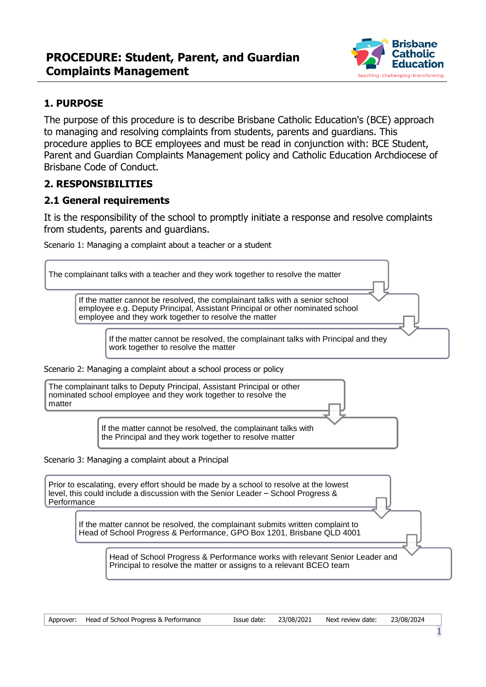

#### **1. PURPOSE**

The purpose of this procedure is to describe Brisbane Catholic Education's (BCE) approach to managing and resolving complaints from students, parents and guardians. This procedure applies to BCE employees and must be read in conjunction with: BCE Student, Parent and Guardian Complaints Management policy and Catholic Education Archdiocese of Brisbane Code of Conduct.

### **2. RESPONSIBILITIES**

#### **2.1 General requirements**

It is the responsibility of the school to promptly initiate a response and resolve complaints from students, parents and guardians.

Scenario 1: Managing a complaint about a teacher or a student

The complainant talks with a teacher and they work together to resolve the matter

If the matter cannot be resolved, the complainant talks with a senior school employee e.g. Deputy Principal, Assistant Principal or other nominated school employee and they work together to resolve the matter

> If the matter cannot be resolved, the complainant talks with Principal and they work together to resolve the matter

Scenario 2: Managing a complaint about a school process or policy

The complainant talks to Deputy Principal, Assistant Principal or other nominated school employee and they work together to resolve the matter

> If the matter cannot be resolved, the complainant talks with the Principal and they work together to resolve matter

Scenario 3: Managing a complaint about a Principal

Prior to escalating, every effort should be made by a school to resolve at the lowest level, this could include a discussion with the Senior Leader – School Progress & Performance

If the matter cannot be resolved, the complainant submits written complaint to Head of School Progress & Performance, GPO Box 1201, Brisbane QLD 4001

> Head of School Progress & Performance works with relevant Senior Leader and Principal to resolve the matter or assigns to a relevant BCEO team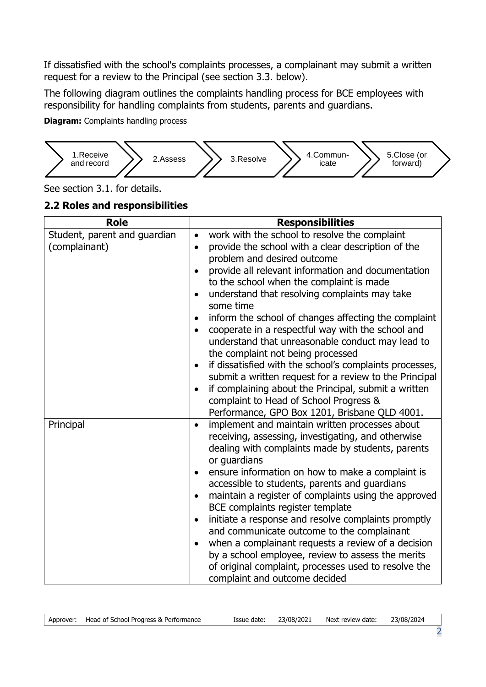If dissatisfied with the school's complaints processes, a complainant may submit a written request for a review to the Principal (see section 3.3. below).

The following diagram outlines the complaints handling process for BCE employees with responsibility for handling complaints from students, parents and guardians.

**Diagram:** Complaints handling process



See section 3.1. for details.

# **2.2 Roles and responsibilities**

| <b>Role</b>                                   | <b>Responsibilities</b>                                                                                                                                                                                                                                                                                                                                                                                                                                                                                                                                                                                                                                                                                                                                                                                                                           |
|-----------------------------------------------|---------------------------------------------------------------------------------------------------------------------------------------------------------------------------------------------------------------------------------------------------------------------------------------------------------------------------------------------------------------------------------------------------------------------------------------------------------------------------------------------------------------------------------------------------------------------------------------------------------------------------------------------------------------------------------------------------------------------------------------------------------------------------------------------------------------------------------------------------|
| Student, parent and guardian<br>(complainant) | work with the school to resolve the complaint<br>$\bullet$<br>provide the school with a clear description of the<br>$\bullet$<br>problem and desired outcome<br>provide all relevant information and documentation<br>$\bullet$<br>to the school when the complaint is made<br>understand that resolving complaints may take<br>some time<br>inform the school of changes affecting the complaint<br>cooperate in a respectful way with the school and<br>understand that unreasonable conduct may lead to<br>the complaint not being processed<br>if dissatisfied with the school's complaints processes,<br>$\bullet$<br>submit a written request for a review to the Principal<br>if complaining about the Principal, submit a written<br>$\bullet$<br>complaint to Head of School Progress &<br>Performance, GPO Box 1201, Brisbane QLD 4001. |
| Principal                                     | implement and maintain written processes about<br>$\bullet$<br>receiving, assessing, investigating, and otherwise<br>dealing with complaints made by students, parents<br>or guardians<br>ensure information on how to make a complaint is<br>$\bullet$<br>accessible to students, parents and guardians<br>maintain a register of complaints using the approved<br>$\bullet$<br>BCE complaints register template<br>initiate a response and resolve complaints promptly<br>$\bullet$<br>and communicate outcome to the complainant<br>when a complainant requests a review of a decision<br>by a school employee, review to assess the merits<br>of original complaint, processes used to resolve the<br>complaint and outcome decided                                                                                                           |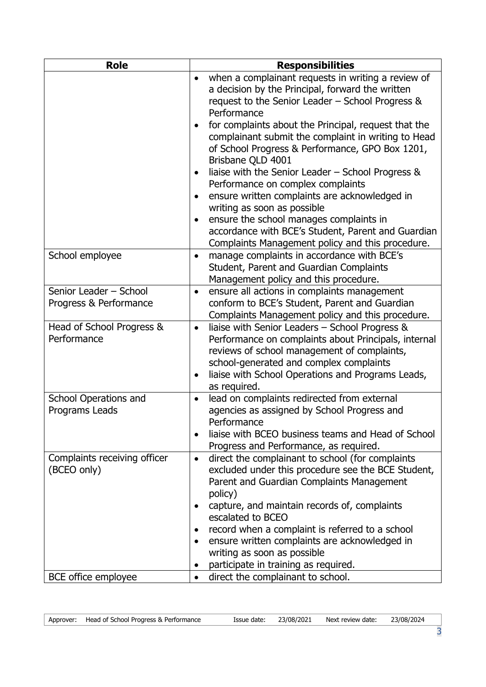| <b>Role</b>                              | <b>Responsibilities</b>                                                                      |
|------------------------------------------|----------------------------------------------------------------------------------------------|
|                                          | when a complainant requests in writing a review of<br>$\bullet$                              |
|                                          | a decision by the Principal, forward the written                                             |
|                                          | request to the Senior Leader - School Progress &                                             |
|                                          | Performance                                                                                  |
|                                          | for complaints about the Principal, request that the                                         |
|                                          | complainant submit the complaint in writing to Head                                          |
|                                          | of School Progress & Performance, GPO Box 1201,                                              |
|                                          | Brisbane QLD 4001                                                                            |
|                                          | liaise with the Senior Leader - School Progress &<br>$\bullet$                               |
|                                          | Performance on complex complaints                                                            |
|                                          | ensure written complaints are acknowledged in<br>$\bullet$                                   |
|                                          | writing as soon as possible                                                                  |
|                                          | ensure the school manages complaints in<br>$\bullet$                                         |
|                                          | accordance with BCE's Student, Parent and Guardian                                           |
|                                          | Complaints Management policy and this procedure.                                             |
| School employee                          | manage complaints in accordance with BCE's<br>$\bullet$                                      |
|                                          | Student, Parent and Guardian Complaints                                                      |
|                                          | Management policy and this procedure.                                                        |
| Senior Leader - School                   | ensure all actions in complaints management<br>$\bullet$                                     |
| Progress & Performance                   | conform to BCE's Student, Parent and Guardian                                                |
|                                          | Complaints Management policy and this procedure.                                             |
| Head of School Progress &<br>Performance | liaise with Senior Leaders - School Progress &<br>$\bullet$                                  |
|                                          | Performance on complaints about Principals, internal                                         |
|                                          | reviews of school management of complaints,                                                  |
|                                          | school-generated and complex complaints<br>liaise with School Operations and Programs Leads, |
|                                          | ٠<br>as required.                                                                            |
| School Operations and                    | lead on complaints redirected from external<br>$\bullet$                                     |
| Programs Leads                           | agencies as assigned by School Progress and                                                  |
|                                          | Performance                                                                                  |
|                                          | liaise with BCEO business teams and Head of School<br>$\bullet$                              |
|                                          | Progress and Performance, as required.                                                       |
| Complaints receiving officer             | direct the complainant to school (for complaints<br>$\bullet$                                |
| (BCEO only)                              | excluded under this procedure see the BCE Student,                                           |
|                                          | Parent and Guardian Complaints Management                                                    |
|                                          | policy)                                                                                      |
|                                          | capture, and maintain records of, complaints<br>$\bullet$                                    |
|                                          | escalated to BCEO                                                                            |
|                                          | record when a complaint is referred to a school<br>$\bullet$                                 |
|                                          | ensure written complaints are acknowledged in<br>$\bullet$                                   |
|                                          | writing as soon as possible                                                                  |
|                                          | participate in training as required.                                                         |
| BCE office employee                      | direct the complainant to school.<br>$\bullet$                                               |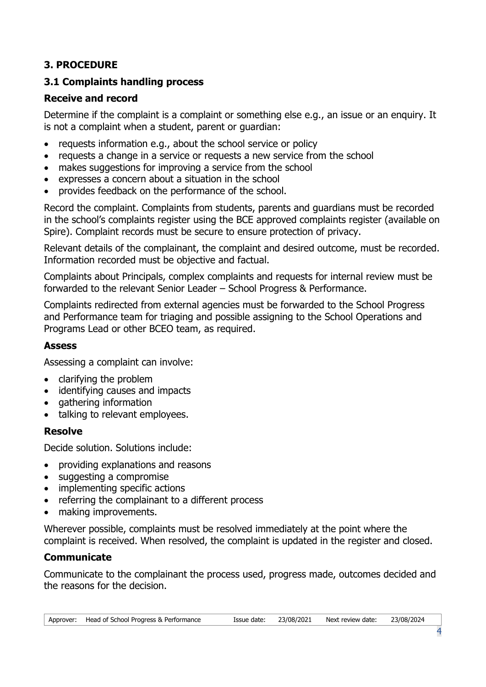# **3. PROCEDURE**

### **3.1 Complaints handling process**

### **Receive and record**

Determine if the complaint is a complaint or something else e.g., an issue or an enquiry. It is not a complaint when a student, parent or guardian:

- requests information e.g., about the school service or policy
- requests a change in a service or requests a new service from the school
- makes suggestions for improving a service from the school
- expresses a concern about a situation in the school
- provides feedback on the performance of the school.

Record the complaint. Complaints from students, parents and guardians must be recorded in the school's complaints register using the BCE approved complaints register (available on Spire). Complaint records must be secure to ensure protection of privacy.

Relevant details of the complainant, the complaint and desired outcome, must be recorded. Information recorded must be objective and factual.

Complaints about Principals, complex complaints and requests for internal review must be forwarded to the relevant Senior Leader – School Progress & Performance.

Complaints redirected from external agencies must be forwarded to the School Progress and Performance team for triaging and possible assigning to the School Operations and Programs Lead or other BCEO team, as required.

### **Assess**

Assessing a complaint can involve:

- clarifying the problem
- identifying causes and impacts
- gathering information
- talking to relevant employees.

### **Resolve**

Decide solution. Solutions include:

- providing explanations and reasons
- suggesting a compromise
- implementing specific actions
- referring the complainant to a different process
- making improvements.

Wherever possible, complaints must be resolved immediately at the point where the complaint is received. When resolved, the complaint is updated in the register and closed.

### **Communicate**

Communicate to the complainant the process used, progress made, outcomes decided and the reasons for the decision.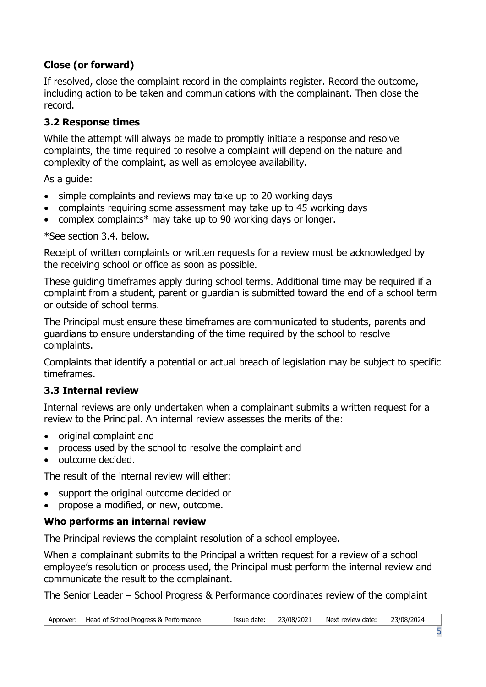# **Close (or forward)**

If resolved, close the complaint record in the complaints register. Record the outcome, including action to be taken and communications with the complainant. Then close the record.

### **3.2 Response times**

While the attempt will always be made to promptly initiate a response and resolve complaints, the time required to resolve a complaint will depend on the nature and complexity of the complaint, as well as employee availability.

As a guide:

- simple complaints and reviews may take up to 20 working days
- complaints requiring some assessment may take up to 45 working days
- complex complaints\* may take up to 90 working days or longer.

\*See section 3.4. below.

Receipt of written complaints or written requests for a review must be acknowledged by the receiving school or office as soon as possible.

These guiding timeframes apply during school terms. Additional time may be required if a complaint from a student, parent or guardian is submitted toward the end of a school term or outside of school terms.

The Principal must ensure these timeframes are communicated to students, parents and guardians to ensure understanding of the time required by the school to resolve complaints.

Complaints that identify a potential or actual breach of legislation may be subject to specific timeframes.

### **3.3 Internal review**

Internal reviews are only undertaken when a complainant submits a written request for a review to the Principal. An internal review assesses the merits of the:

- original complaint and
- process used by the school to resolve the complaint and
- outcome decided.

The result of the internal review will either:

- support the original outcome decided or
- propose a modified, or new, outcome.

### **Who performs an internal review**

The Principal reviews the complaint resolution of a school employee.

When a complainant submits to the Principal a written request for a review of a school employee's resolution or process used, the Principal must perform the internal review and communicate the result to the complainant.

The Senior Leader – School Progress & Performance coordinates review of the complaint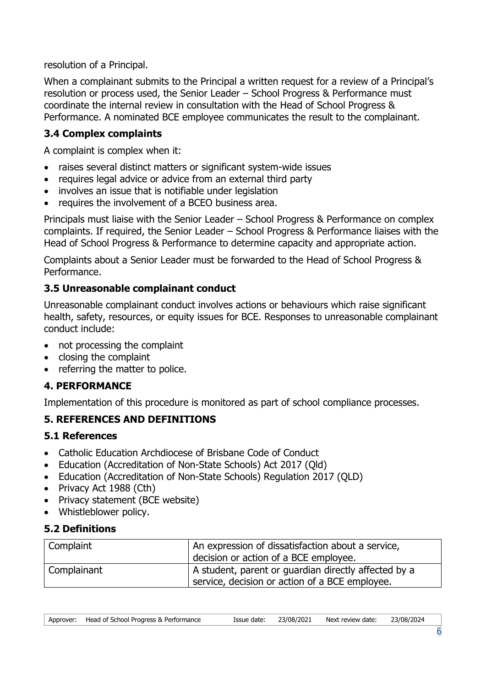resolution of a Principal.

When a complainant submits to the Principal a written request for a review of a Principal's resolution or process used, the Senior Leader – School Progress & Performance must coordinate the internal review in consultation with the Head of School Progress & Performance. A nominated BCE employee communicates the result to the complainant.

# **3.4 Complex complaints**

A complaint is complex when it:

- raises several distinct matters or significant system-wide issues
- requires legal advice or advice from an external third party
- involves an issue that is notifiable under legislation
- requires the involvement of a BCEO business area.

Principals must liaise with the Senior Leader – School Progress & Performance on complex complaints. If required, the Senior Leader – School Progress & Performance liaises with the Head of School Progress & Performance to determine capacity and appropriate action.

Complaints about a Senior Leader must be forwarded to the Head of School Progress & Performance.

### **3.5 Unreasonable complainant conduct**

Unreasonable complainant conduct involves actions or behaviours which raise significant health, safety, resources, or equity issues for BCE. Responses to unreasonable complainant conduct include:

- not processing the complaint
- closing the complaint
- referring the matter to police.

### **4. PERFORMANCE**

Implementation of this procedure is monitored as part of school compliance processes.

# **5. REFERENCES AND DEFINITIONS**

### **5.1 References**

- Catholic Education Archdiocese of Brisbane Code of Conduct
- Education (Accreditation of Non-State Schools) Act 2017 (Qld)
- Education (Accreditation of Non-State Schools) Regulation 2017 (QLD)
- Privacy Act 1988 (Cth)
- Privacy statement (BCE website)
- Whistleblower policy.

### **5.2 Definitions**

| Complaint   | An expression of dissatisfaction about a service,                                                      |
|-------------|--------------------------------------------------------------------------------------------------------|
|             | decision or action of a BCE employee.                                                                  |
| Complainant | A student, parent or guardian directly affected by a<br>service, decision or action of a BCE employee. |